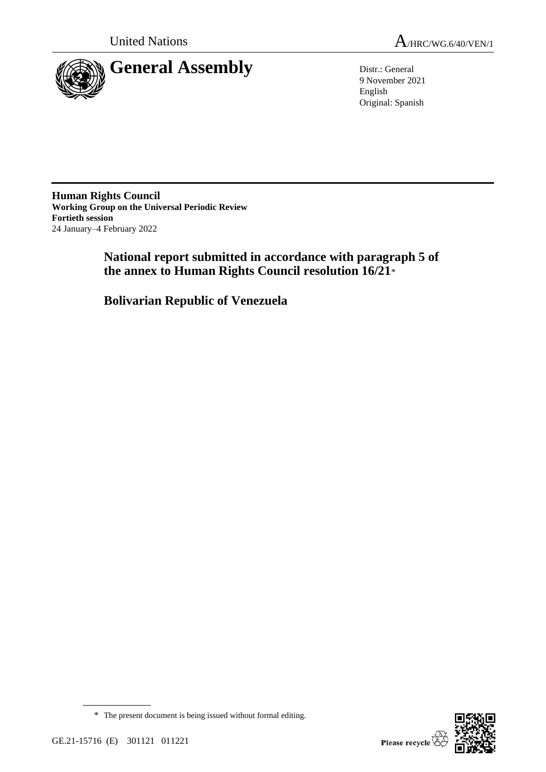

9 November 2021 English Original: Spanish

**Human Rights Council Working Group on the Universal Periodic Review Fortieth session** 24 January–4 February 2022

> **National report submitted in accordance with paragraph 5 of the annex to Human Rights Council resolution 16/21**\*

**Bolivarian Republic of Venezuela**



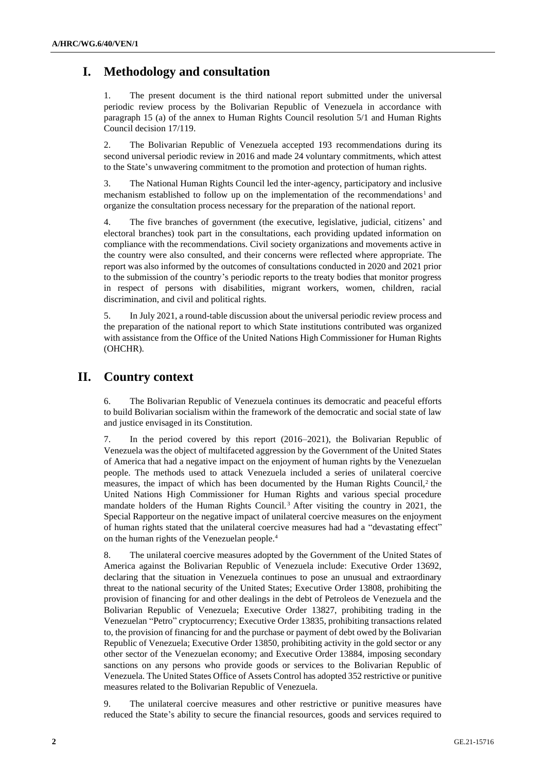# **I. Methodology and consultation**

The present document is the third national report submitted under the universal periodic review process by the Bolivarian Republic of Venezuela in accordance with paragraph 15 (a) of the annex to Human Rights Council resolution 5/1 and Human Rights Council decision 17/119.

2. The Bolivarian Republic of Venezuela accepted 193 recommendations during its second universal periodic review in 2016 and made 24 voluntary commitments, which attest to the State's unwavering commitment to the promotion and protection of human rights.

3. The National Human Rights Council led the inter-agency, participatory and inclusive mechanism established to follow up on the implementation of the recommendations<sup>1</sup> and organize the consultation process necessary for the preparation of the national report.

4. The five branches of government (the executive, legislative, judicial, citizens' and electoral branches) took part in the consultations, each providing updated information on compliance with the recommendations. Civil society organizations and movements active in the country were also consulted, and their concerns were reflected where appropriate. The report was also informed by the outcomes of consultations conducted in 2020 and 2021 prior to the submission of the country's periodic reports to the treaty bodies that monitor progress in respect of persons with disabilities, migrant workers, women, children, racial discrimination, and civil and political rights.

5. In July 2021, a round-table discussion about the universal periodic review process and the preparation of the national report to which State institutions contributed was organized with assistance from the Office of the United Nations High Commissioner for Human Rights (OHCHR).

# **II. Country context**

6. The Bolivarian Republic of Venezuela continues its democratic and peaceful efforts to build Bolivarian socialism within the framework of the democratic and social state of law and justice envisaged in its Constitution.

7. In the period covered by this report (2016–2021), the Bolivarian Republic of Venezuela was the object of multifaceted aggression by the Government of the United States of America that had a negative impact on the enjoyment of human rights by the Venezuelan people. The methods used to attack Venezuela included a series of unilateral coercive measures, the impact of which has been documented by the Human Rights Council, $2$  the United Nations High Commissioner for Human Rights and various special procedure mandate holders of the Human Rights Council.<sup>3</sup> After visiting the country in 2021, the Special Rapporteur on the negative impact of unilateral coercive measures on the enjoyment of human rights stated that the unilateral coercive measures had had a "devastating effect" on the human rights of the Venezuelan people.<sup>4</sup>

8. The unilateral coercive measures adopted by the Government of the United States of America against the Bolivarian Republic of Venezuela include: Executive Order 13692, declaring that the situation in Venezuela continues to pose an unusual and extraordinary threat to the national security of the United States; Executive Order 13808, prohibiting the provision of financing for and other dealings in the debt of Petroleos de Venezuela and the Bolivarian Republic of Venezuela; Executive Order 13827, prohibiting trading in the Venezuelan "Petro" cryptocurrency; Executive Order 13835, prohibiting transactions related to, the provision of financing for and the purchase or payment of debt owed by the Bolivarian Republic of Venezuela; Executive Order 13850, prohibiting activity in the gold sector or any other sector of the Venezuelan economy; and Executive Order 13884, imposing secondary sanctions on any persons who provide goods or services to the Bolivarian Republic of Venezuela. The United States Office of Assets Control has adopted 352 restrictive or punitive measures related to the Bolivarian Republic of Venezuela.

9. The unilateral coercive measures and other restrictive or punitive measures have reduced the State's ability to secure the financial resources, goods and services required to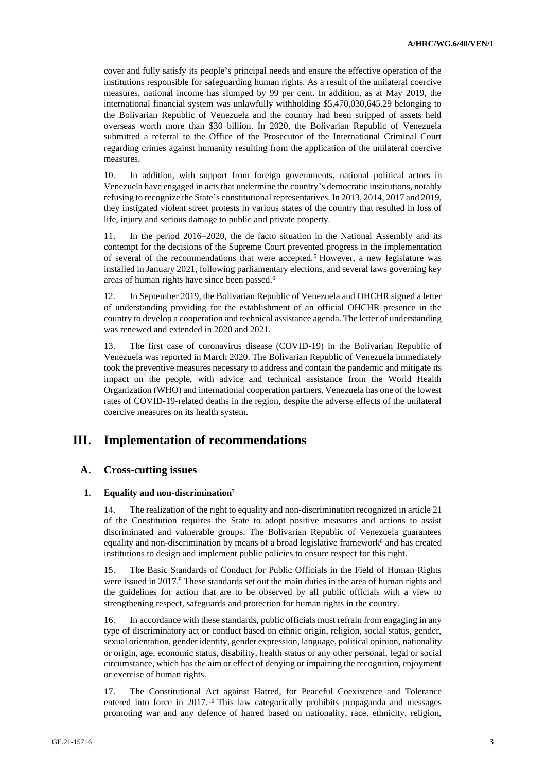cover and fully satisfy its people's principal needs and ensure the effective operation of the institutions responsible for safeguarding human rights. As a result of the unilateral coercive measures, national income has slumped by 99 per cent. In addition, as at May 2019, the international financial system was unlawfully withholding \$5,470,030,645.29 belonging to the Bolivarian Republic of Venezuela and the country had been stripped of assets held overseas worth more than \$30 billion. In 2020, the Bolivarian Republic of Venezuela submitted a referral to the Office of the Prosecutor of the International Criminal Court regarding crimes against humanity resulting from the application of the unilateral coercive measures.

10. In addition, with support from foreign governments, national political actors in Venezuela have engaged in acts that undermine the country's democratic institutions, notably refusing to recognize the State's constitutional representatives. In 2013, 2014, 2017 and 2019, they instigated violent street protests in various states of the country that resulted in loss of life, injury and serious damage to public and private property.

11. In the period 2016–2020, the de facto situation in the National Assembly and its contempt for the decisions of the Supreme Court prevented progress in the implementation of several of the recommendations that were accepted.<sup>5</sup> However, a new legislature was installed in January 2021, following parliamentary elections, and several laws governing key areas of human rights have since been passed.<sup>6</sup>

12. In September 2019, the Bolivarian Republic of Venezuela and OHCHR signed a letter of understanding providing for the establishment of an official OHCHR presence in the country to develop a cooperation and technical assistance agenda. The letter of understanding was renewed and extended in 2020 and 2021.

13. The first case of coronavirus disease (COVID-19) in the Bolivarian Republic of Venezuela was reported in March 2020. The Bolivarian Republic of Venezuela immediately took the preventive measures necessary to address and contain the pandemic and mitigate its impact on the people, with advice and technical assistance from the World Health Organization (WHO) and international cooperation partners. Venezuela has one of the lowest rates of COVID-19-related deaths in the region, despite the adverse effects of the unilateral coercive measures on its health system.

# **III. Implementation of recommendations**

## **A. Cross-cutting issues**

#### **1. Equality and non-discrimination**<sup>7</sup>

14. The realization of the right to equality and non-discrimination recognized in article 21 of the Constitution requires the State to adopt positive measures and actions to assist discriminated and vulnerable groups. The Bolivarian Republic of Venezuela guarantees equality and non-discrimination by means of a broad legislative framework<sup>8</sup> and has created institutions to design and implement public policies to ensure respect for this right.

15. The Basic Standards of Conduct for Public Officials in the Field of Human Rights were issued in 2017.<sup>9</sup> These standards set out the main duties in the area of human rights and the guidelines for action that are to be observed by all public officials with a view to strengthening respect, safeguards and protection for human rights in the country.

16. In accordance with these standards, public officials must refrain from engaging in any type of discriminatory act or conduct based on ethnic origin, religion, social status, gender, sexual orientation, gender identity, gender expression, language, political opinion, nationality or origin, age, economic status, disability, health status or any other personal, legal or social circumstance, which has the aim or effect of denying or impairing the recognition, enjoyment or exercise of human rights.

17. The Constitutional Act against Hatred, for Peaceful Coexistence and Tolerance entered into force in  $2017$ .<sup>10</sup> This law categorically prohibits propaganda and messages promoting war and any defence of hatred based on nationality, race, ethnicity, religion,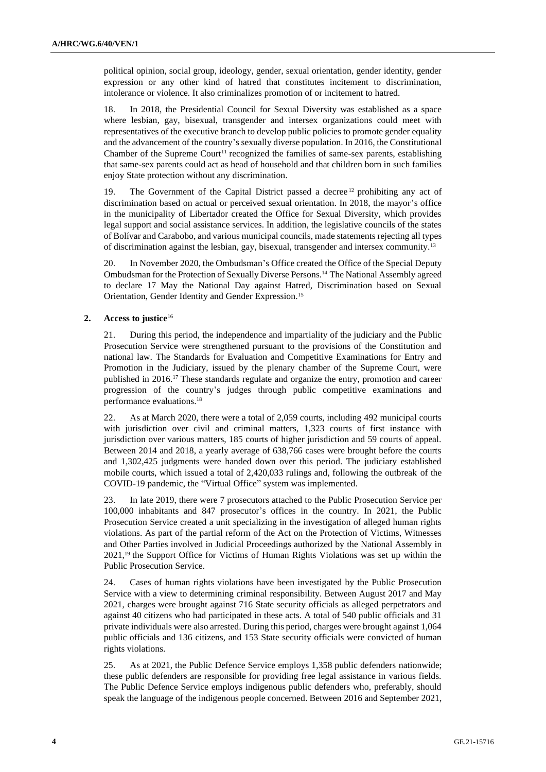political opinion, social group, ideology, gender, sexual orientation, gender identity, gender expression or any other kind of hatred that constitutes incitement to discrimination, intolerance or violence. It also criminalizes promotion of or incitement to hatred.

18. In 2018, the Presidential Council for Sexual Diversity was established as a space where lesbian, gay, bisexual, transgender and intersex organizations could meet with representatives of the executive branch to develop public policies to promote gender equality and the advancement of the country's sexually diverse population. In 2016, the Constitutional Chamber of the Supreme Court<sup>11</sup> recognized the families of same-sex parents, establishing that same-sex parents could act as head of household and that children born in such families enjoy State protection without any discrimination.

19. The Government of the Capital District passed a decree  $12$  prohibiting any act of discrimination based on actual or perceived sexual orientation. In 2018, the mayor's office in the municipality of Libertador created the Office for Sexual Diversity, which provides legal support and social assistance services. In addition, the legislative councils of the states of Bolívar and Carabobo, and various municipal councils, made statements rejecting all types of discrimination against the lesbian, gay, bisexual, transgender and intersex community.<sup>13</sup>

20. In November 2020, the Ombudsman's Office created the Office of the Special Deputy Ombudsman for the Protection of Sexually Diverse Persons.<sup>14</sup> The National Assembly agreed to declare 17 May the National Day against Hatred, Discrimination based on Sexual Orientation, Gender Identity and Gender Expression.<sup>15</sup>

## **2. Access to justice**<sup>16</sup>

21. During this period, the independence and impartiality of the judiciary and the Public Prosecution Service were strengthened pursuant to the provisions of the Constitution and national law. The Standards for Evaluation and Competitive Examinations for Entry and Promotion in the Judiciary, issued by the plenary chamber of the Supreme Court, were published in 2016.<sup>17</sup> These standards regulate and organize the entry, promotion and career progression of the country's judges through public competitive examinations and performance evaluations.<sup>18</sup>

22. As at March 2020, there were a total of 2,059 courts, including 492 municipal courts with jurisdiction over civil and criminal matters, 1,323 courts of first instance with jurisdiction over various matters, 185 courts of higher jurisdiction and 59 courts of appeal. Between 2014 and 2018, a yearly average of 638,766 cases were brought before the courts and 1,302,425 judgments were handed down over this period. The judiciary established mobile courts, which issued a total of 2,420,033 rulings and, following the outbreak of the COVID-19 pandemic, the "Virtual Office" system was implemented.

23. In late 2019, there were 7 prosecutors attached to the Public Prosecution Service per 100,000 inhabitants and 847 prosecutor's offices in the country. In 2021, the Public Prosecution Service created a unit specializing in the investigation of alleged human rights violations. As part of the partial reform of the Act on the Protection of Victims, Witnesses and Other Parties involved in Judicial Proceedings authorized by the National Assembly in 2021,<sup>19</sup> the Support Office for Victims of Human Rights Violations was set up within the Public Prosecution Service.

24. Cases of human rights violations have been investigated by the Public Prosecution Service with a view to determining criminal responsibility. Between August 2017 and May 2021, charges were brought against 716 State security officials as alleged perpetrators and against 40 citizens who had participated in these acts. A total of 540 public officials and 31 private individuals were also arrested. During this period, charges were brought against 1,064 public officials and 136 citizens, and 153 State security officials were convicted of human rights violations.

25. As at 2021, the Public Defence Service employs 1,358 public defenders nationwide; these public defenders are responsible for providing free legal assistance in various fields. The Public Defence Service employs indigenous public defenders who, preferably, should speak the language of the indigenous people concerned. Between 2016 and September 2021,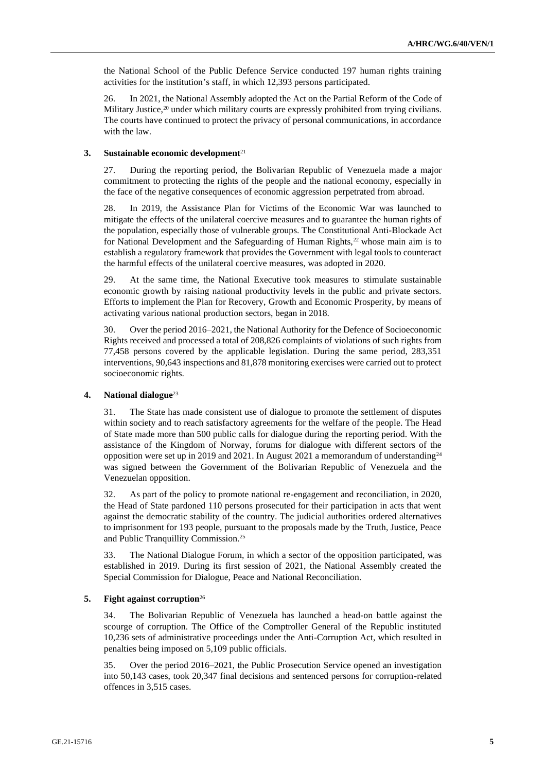the National School of the Public Defence Service conducted 197 human rights training activities for the institution's staff, in which 12,393 persons participated.

26. In 2021, the National Assembly adopted the Act on the Partial Reform of the Code of Military Justice,<sup>20</sup> under which military courts are expressly prohibited from trying civilians. The courts have continued to protect the privacy of personal communications, in accordance with the law.

#### **3. Sustainable economic development**<sup>21</sup>

27. During the reporting period, the Bolivarian Republic of Venezuela made a major commitment to protecting the rights of the people and the national economy, especially in the face of the negative consequences of economic aggression perpetrated from abroad.

28. In 2019, the Assistance Plan for Victims of the Economic War was launched to mitigate the effects of the unilateral coercive measures and to guarantee the human rights of the population, especially those of vulnerable groups. The Constitutional Anti-Blockade Act for National Development and the Safeguarding of Human Rights, $2<sup>2</sup>$  whose main aim is to establish a regulatory framework that provides the Government with legal tools to counteract the harmful effects of the unilateral coercive measures, was adopted in 2020.

29. At the same time, the National Executive took measures to stimulate sustainable economic growth by raising national productivity levels in the public and private sectors. Efforts to implement the Plan for Recovery, Growth and Economic Prosperity, by means of activating various national production sectors, began in 2018.

30. Over the period 2016–2021, the National Authority for the Defence of Socioeconomic Rights received and processed a total of 208,826 complaints of violations of such rights from 77,458 persons covered by the applicable legislation. During the same period, 283,351 interventions, 90,643 inspections and 81,878 monitoring exercises were carried out to protect socioeconomic rights.

#### **4. National dialogue**<sup>23</sup>

31. The State has made consistent use of dialogue to promote the settlement of disputes within society and to reach satisfactory agreements for the welfare of the people. The Head of State made more than 500 public calls for dialogue during the reporting period. With the assistance of the Kingdom of Norway, forums for dialogue with different sectors of the opposition were set up in 2019 and 2021. In August 2021 a memorandum of understanding<sup>24</sup> was signed between the Government of the Bolivarian Republic of Venezuela and the Venezuelan opposition.

32. As part of the policy to promote national re-engagement and reconciliation, in 2020, the Head of State pardoned 110 persons prosecuted for their participation in acts that went against the democratic stability of the country. The judicial authorities ordered alternatives to imprisonment for 193 people, pursuant to the proposals made by the Truth, Justice, Peace and Public Tranquillity Commission.<sup>25</sup>

33. The National Dialogue Forum, in which a sector of the opposition participated, was established in 2019. During its first session of 2021, the National Assembly created the Special Commission for Dialogue, Peace and National Reconciliation.

#### **5. Fight against corruption**<sup>26</sup>

34. The Bolivarian Republic of Venezuela has launched a head-on battle against the scourge of corruption. The Office of the Comptroller General of the Republic instituted 10,236 sets of administrative proceedings under the Anti-Corruption Act, which resulted in penalties being imposed on 5,109 public officials.

35. Over the period 2016–2021, the Public Prosecution Service opened an investigation into 50,143 cases, took 20,347 final decisions and sentenced persons for corruption-related offences in 3,515 cases.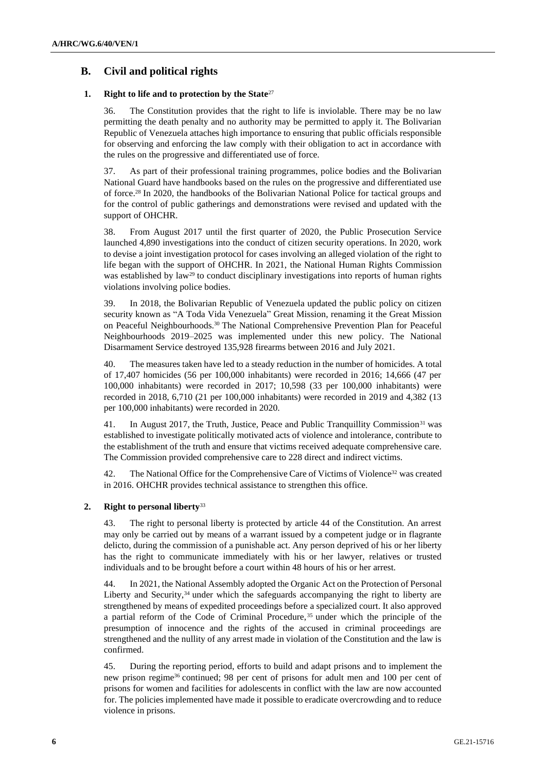## **B. Civil and political rights**

### **1. Right to life and to protection by the State**<sup>27</sup>

36. The Constitution provides that the right to life is inviolable. There may be no law permitting the death penalty and no authority may be permitted to apply it. The Bolivarian Republic of Venezuela attaches high importance to ensuring that public officials responsible for observing and enforcing the law comply with their obligation to act in accordance with the rules on the progressive and differentiated use of force.

37. As part of their professional training programmes, police bodies and the Bolivarian National Guard have handbooks based on the rules on the progressive and differentiated use of force.<sup>28</sup> In 2020, the handbooks of the Bolivarian National Police for tactical groups and for the control of public gatherings and demonstrations were revised and updated with the support of OHCHR.

38. From August 2017 until the first quarter of 2020, the Public Prosecution Service launched 4,890 investigations into the conduct of citizen security operations. In 2020, work to devise a joint investigation protocol for cases involving an alleged violation of the right to life began with the support of OHCHR. In 2021, the National Human Rights Commission was established by law<sup>29</sup> to conduct disciplinary investigations into reports of human rights violations involving police bodies.

39. In 2018, the Bolivarian Republic of Venezuela updated the public policy on citizen security known as "A Toda Vida Venezuela" Great Mission, renaming it the Great Mission on Peaceful Neighbourhoods.<sup>30</sup> The National Comprehensive Prevention Plan for Peaceful Neighbourhoods 2019–2025 was implemented under this new policy. The National Disarmament Service destroyed 135,928 firearms between 2016 and July 2021.

40. The measures taken have led to a steady reduction in the number of homicides. A total of 17,407 homicides (56 per 100,000 inhabitants) were recorded in 2016; 14,666 (47 per 100,000 inhabitants) were recorded in 2017; 10,598 (33 per 100,000 inhabitants) were recorded in 2018, 6,710 (21 per 100,000 inhabitants) were recorded in 2019 and 4,382 (13 per 100,000 inhabitants) were recorded in 2020.

In August 2017, the Truth, Justice, Peace and Public Tranquillity Commission<sup>31</sup> was established to investigate politically motivated acts of violence and intolerance, contribute to the establishment of the truth and ensure that victims received adequate comprehensive care. The Commission provided comprehensive care to 228 direct and indirect victims.

42. The National Office for the Comprehensive Care of Victims of Violence<sup>32</sup> was created in 2016. OHCHR provides technical assistance to strengthen this office.

## **2. Right to personal liberty**<sup>33</sup>

43. The right to personal liberty is protected by article 44 of the Constitution. An arrest may only be carried out by means of a warrant issued by a competent judge or in flagrante delicto, during the commission of a punishable act. Any person deprived of his or her liberty has the right to communicate immediately with his or her lawyer, relatives or trusted individuals and to be brought before a court within 48 hours of his or her arrest.

44. In 2021, the National Assembly adopted the Organic Act on the Protection of Personal Liberty and Security,<sup>34</sup> under which the safeguards accompanying the right to liberty are strengthened by means of expedited proceedings before a specialized court. It also approved a partial reform of the Code of Criminal Procedure, <sup>35</sup> under which the principle of the presumption of innocence and the rights of the accused in criminal proceedings are strengthened and the nullity of any arrest made in violation of the Constitution and the law is confirmed.

45. During the reporting period, efforts to build and adapt prisons and to implement the new prison regime<sup>36</sup> continued; 98 per cent of prisons for adult men and 100 per cent of prisons for women and facilities for adolescents in conflict with the law are now accounted for. The policies implemented have made it possible to eradicate overcrowding and to reduce violence in prisons.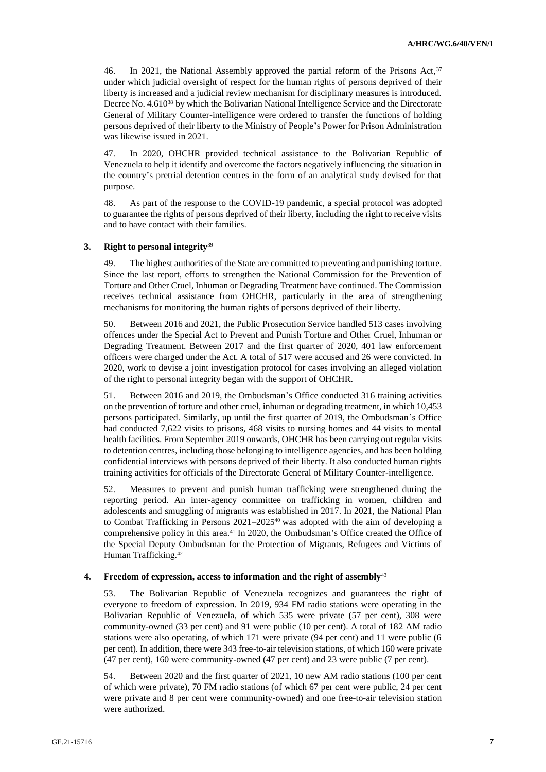46. In 2021, the National Assembly approved the partial reform of the Prisons Act, 37 under which judicial oversight of respect for the human rights of persons deprived of their liberty is increased and a judicial review mechanism for disciplinary measures is introduced. Decree No. 4.610<sup>38</sup> by which the Bolivarian National Intelligence Service and the Directorate General of Military Counter-intelligence were ordered to transfer the functions of holding persons deprived of their liberty to the Ministry of People's Power for Prison Administration was likewise issued in 2021.

47. In 2020, OHCHR provided technical assistance to the Bolivarian Republic of Venezuela to help it identify and overcome the factors negatively influencing the situation in the country's pretrial detention centres in the form of an analytical study devised for that purpose.

48. As part of the response to the COVID-19 pandemic, a special protocol was adopted to guarantee the rights of persons deprived of their liberty, including the right to receive visits and to have contact with their families.

#### **3. Right to personal integrity**<sup>39</sup>

49. The highest authorities of the State are committed to preventing and punishing torture. Since the last report, efforts to strengthen the National Commission for the Prevention of Torture and Other Cruel, Inhuman or Degrading Treatment have continued. The Commission receives technical assistance from OHCHR, particularly in the area of strengthening mechanisms for monitoring the human rights of persons deprived of their liberty.

50. Between 2016 and 2021, the Public Prosecution Service handled 513 cases involving offences under the Special Act to Prevent and Punish Torture and Other Cruel, Inhuman or Degrading Treatment. Between 2017 and the first quarter of 2020, 401 law enforcement officers were charged under the Act. A total of 517 were accused and 26 were convicted. In 2020, work to devise a joint investigation protocol for cases involving an alleged violation of the right to personal integrity began with the support of OHCHR.

51. Between 2016 and 2019, the Ombudsman's Office conducted 316 training activities on the prevention of torture and other cruel, inhuman or degrading treatment, in which 10,453 persons participated. Similarly, up until the first quarter of 2019, the Ombudsman's Office had conducted 7,622 visits to prisons, 468 visits to nursing homes and 44 visits to mental health facilities. From September 2019 onwards, OHCHR has been carrying out regular visits to detention centres, including those belonging to intelligence agencies, and has been holding confidential interviews with persons deprived of their liberty. It also conducted human rights training activities for officials of the Directorate General of Military Counter-intelligence.

52. Measures to prevent and punish human trafficking were strengthened during the reporting period. An inter-agency committee on trafficking in women, children and adolescents and smuggling of migrants was established in 2017. In 2021, the National Plan to Combat Trafficking in Persons  $2021-2025^{40}$  was adopted with the aim of developing a comprehensive policy in this area.<sup>41</sup> In 2020, the Ombudsman's Office created the Office of the Special Deputy Ombudsman for the Protection of Migrants, Refugees and Victims of Human Trafficking.<sup>42</sup>

#### **4. Freedom of expression, access to information and the right of assembly**<sup>43</sup>

53. The Bolivarian Republic of Venezuela recognizes and guarantees the right of everyone to freedom of expression. In 2019, 934 FM radio stations were operating in the Bolivarian Republic of Venezuela, of which 535 were private (57 per cent), 308 were community-owned (33 per cent) and 91 were public (10 per cent). A total of 182 AM radio stations were also operating, of which 171 were private (94 per cent) and 11 were public (6 per cent). In addition, there were 343 free-to-air television stations, of which 160 were private (47 per cent), 160 were community-owned (47 per cent) and 23 were public (7 per cent).

54. Between 2020 and the first quarter of 2021, 10 new AM radio stations (100 per cent of which were private), 70 FM radio stations (of which 67 per cent were public, 24 per cent were private and 8 per cent were community-owned) and one free-to-air television station were authorized.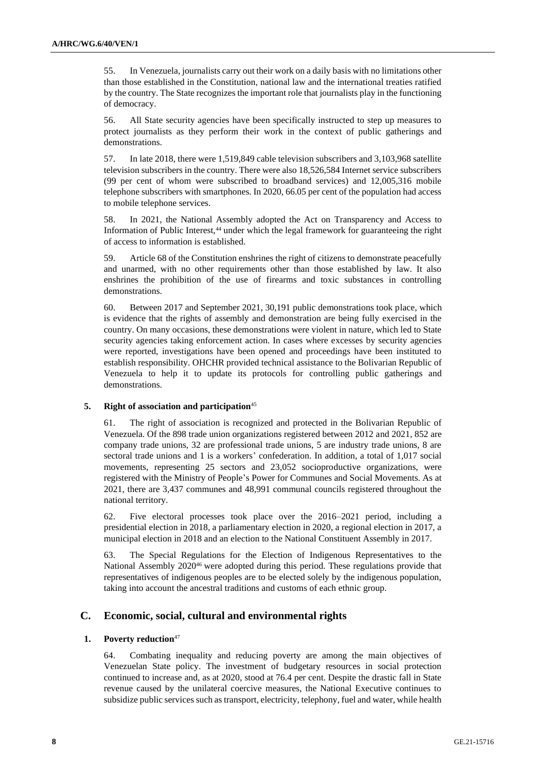55. In Venezuela, journalists carry out their work on a daily basis with no limitations other than those established in the Constitution, national law and the international treaties ratified by the country. The State recognizes the important role that journalists play in the functioning of democracy.

56. All State security agencies have been specifically instructed to step up measures to protect journalists as they perform their work in the context of public gatherings and demonstrations.

57. In late 2018, there were 1,519,849 cable television subscribers and 3,103,968 satellite television subscribers in the country. There were also 18,526,584 Internet service subscribers (99 per cent of whom were subscribed to broadband services) and 12,005,316 mobile telephone subscribers with smartphones. In 2020, 66.05 per cent of the population had access to mobile telephone services.

58. In 2021, the National Assembly adopted the Act on Transparency and Access to Information of Public Interest,<sup>44</sup> under which the legal framework for guaranteeing the right of access to information is established.

59. Article 68 of the Constitution enshrines the right of citizens to demonstrate peacefully and unarmed, with no other requirements other than those established by law. It also enshrines the prohibition of the use of firearms and toxic substances in controlling demonstrations.

60. Between 2017 and September 2021, 30,191 public demonstrations took place, which is evidence that the rights of assembly and demonstration are being fully exercised in the country. On many occasions, these demonstrations were violent in nature, which led to State security agencies taking enforcement action. In cases where excesses by security agencies were reported, investigations have been opened and proceedings have been instituted to establish responsibility. OHCHR provided technical assistance to the Bolivarian Republic of Venezuela to help it to update its protocols for controlling public gatherings and demonstrations.

#### **5. Right of association and participation**<sup>45</sup>

61. The right of association is recognized and protected in the Bolivarian Republic of Venezuela. Of the 898 trade union organizations registered between 2012 and 2021, 852 are company trade unions, 32 are professional trade unions, 5 are industry trade unions, 8 are sectoral trade unions and 1 is a workers' confederation. In addition, a total of 1,017 social movements, representing 25 sectors and 23,052 socioproductive organizations, were registered with the Ministry of People's Power for Communes and Social Movements. As at 2021, there are 3,437 communes and 48,991 communal councils registered throughout the national territory.

62. Five electoral processes took place over the 2016–2021 period, including a presidential election in 2018, a parliamentary election in 2020, a regional election in 2017, a municipal election in 2018 and an election to the National Constituent Assembly in 2017.

63. The Special Regulations for the Election of Indigenous Representatives to the National Assembly 2020<sup>46</sup> were adopted during this period. These regulations provide that representatives of indigenous peoples are to be elected solely by the indigenous population, taking into account the ancestral traditions and customs of each ethnic group.

## **C. Economic, social, cultural and environmental rights**

#### **1. Poverty reduction**<sup>47</sup>

64. Combating inequality and reducing poverty are among the main objectives of Venezuelan State policy. The investment of budgetary resources in social protection continued to increase and, as at 2020, stood at 76.4 per cent. Despite the drastic fall in State revenue caused by the unilateral coercive measures, the National Executive continues to subsidize public services such as transport, electricity, telephony, fuel and water, while health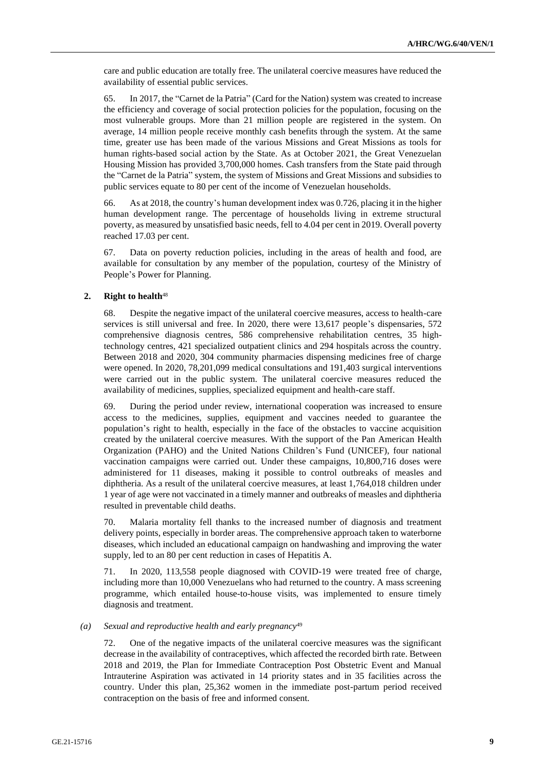care and public education are totally free. The unilateral coercive measures have reduced the availability of essential public services.

65. In 2017, the "Carnet de la Patria" (Card for the Nation) system was created to increase the efficiency and coverage of social protection policies for the population, focusing on the most vulnerable groups. More than 21 million people are registered in the system. On average, 14 million people receive monthly cash benefits through the system. At the same time, greater use has been made of the various Missions and Great Missions as tools for human rights-based social action by the State. As at October 2021, the Great Venezuelan Housing Mission has provided 3,700,000 homes. Cash transfers from the State paid through the "Carnet de la Patria" system, the system of Missions and Great Missions and subsidies to public services equate to 80 per cent of the income of Venezuelan households.

66. As at 2018, the country's human development index was 0.726, placing it in the higher human development range. The percentage of households living in extreme structural poverty, as measured by unsatisfied basic needs, fell to 4.04 per cent in 2019. Overall poverty reached 17.03 per cent.

67. Data on poverty reduction policies, including in the areas of health and food, are available for consultation by any member of the population, courtesy of the Ministry of People's Power for Planning.

## **2. Right to health**<sup>48</sup>

68. Despite the negative impact of the unilateral coercive measures, access to health-care services is still universal and free. In 2020, there were 13,617 people's dispensaries, 572 comprehensive diagnosis centres, 586 comprehensive rehabilitation centres, 35 hightechnology centres, 421 specialized outpatient clinics and 294 hospitals across the country. Between 2018 and 2020, 304 community pharmacies dispensing medicines free of charge were opened. In 2020, 78,201,099 medical consultations and 191,403 surgical interventions were carried out in the public system. The unilateral coercive measures reduced the availability of medicines, supplies, specialized equipment and health-care staff.

69. During the period under review, international cooperation was increased to ensure access to the medicines, supplies, equipment and vaccines needed to guarantee the population's right to health, especially in the face of the obstacles to vaccine acquisition created by the unilateral coercive measures. With the support of the Pan American Health Organization (PAHO) and the United Nations Children's Fund (UNICEF), four national vaccination campaigns were carried out. Under these campaigns, 10,800,716 doses were administered for 11 diseases, making it possible to control outbreaks of measles and diphtheria. As a result of the unilateral coercive measures, at least 1,764,018 children under 1 year of age were not vaccinated in a timely manner and outbreaks of measles and diphtheria resulted in preventable child deaths.

70. Malaria mortality fell thanks to the increased number of diagnosis and treatment delivery points, especially in border areas. The comprehensive approach taken to waterborne diseases, which included an educational campaign on handwashing and improving the water supply, led to an 80 per cent reduction in cases of Hepatitis A.

71. In 2020, 113,558 people diagnosed with COVID-19 were treated free of charge, including more than 10,000 Venezuelans who had returned to the country. A mass screening programme, which entailed house-to-house visits, was implemented to ensure timely diagnosis and treatment.

#### *(a) Sexual and reproductive health and early pregnancy*<sup>49</sup>

72. One of the negative impacts of the unilateral coercive measures was the significant decrease in the availability of contraceptives, which affected the recorded birth rate. Between 2018 and 2019, the Plan for Immediate Contraception Post Obstetric Event and Manual Intrauterine Aspiration was activated in 14 priority states and in 35 facilities across the country. Under this plan, 25,362 women in the immediate post-partum period received contraception on the basis of free and informed consent.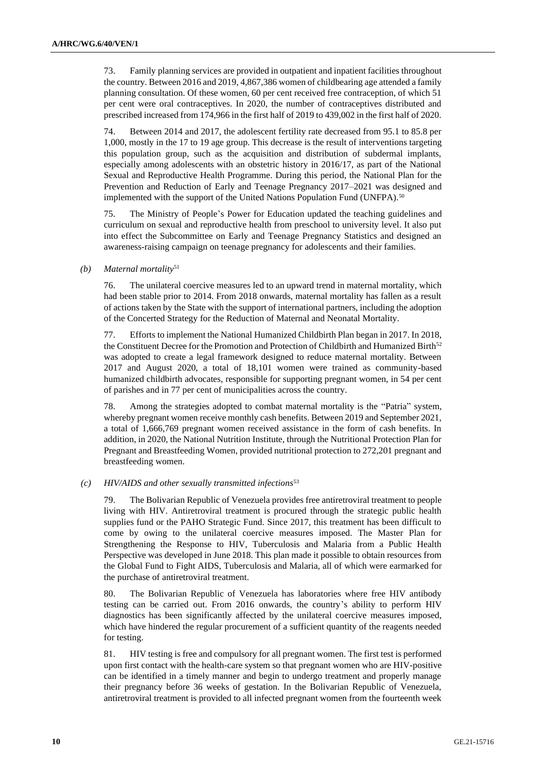73. Family planning services are provided in outpatient and inpatient facilities throughout the country. Between 2016 and 2019, 4,867,386 women of childbearing age attended a family planning consultation. Of these women, 60 per cent received free contraception, of which 51 per cent were oral contraceptives. In 2020, the number of contraceptives distributed and prescribed increased from 174,966 in the first half of 2019 to 439,002 in the first half of 2020.

74. Between 2014 and 2017, the adolescent fertility rate decreased from 95.1 to 85.8 per 1,000, mostly in the 17 to 19 age group. This decrease is the result of interventions targeting this population group, such as the acquisition and distribution of subdermal implants, especially among adolescents with an obstetric history in 2016/17, as part of the National Sexual and Reproductive Health Programme. During this period, the National Plan for the Prevention and Reduction of Early and Teenage Pregnancy 2017–2021 was designed and implemented with the support of the United Nations Population Fund (UNFPA).<sup>50</sup>

75. The Ministry of People's Power for Education updated the teaching guidelines and curriculum on sexual and reproductive health from preschool to university level. It also put into effect the Subcommittee on Early and Teenage Pregnancy Statistics and designed an awareness-raising campaign on teenage pregnancy for adolescents and their families.

#### *(b) Maternal mortality*<sup>51</sup>

76. The unilateral coercive measures led to an upward trend in maternal mortality, which had been stable prior to 2014. From 2018 onwards, maternal mortality has fallen as a result of actions taken by the State with the support of international partners, including the adoption of the Concerted Strategy for the Reduction of Maternal and Neonatal Mortality.

77. Efforts to implement the National Humanized Childbirth Plan began in 2017. In 2018, the Constituent Decree for the Promotion and Protection of Childbirth and Humanized Birth<sup>52</sup> was adopted to create a legal framework designed to reduce maternal mortality. Between 2017 and August 2020, a total of 18,101 women were trained as community-based humanized childbirth advocates, responsible for supporting pregnant women, in 54 per cent of parishes and in 77 per cent of municipalities across the country.

78. Among the strategies adopted to combat maternal mortality is the "Patria" system, whereby pregnant women receive monthly cash benefits. Between 2019 and September 2021, a total of 1,666,769 pregnant women received assistance in the form of cash benefits. In addition, in 2020, the National Nutrition Institute, through the Nutritional Protection Plan for Pregnant and Breastfeeding Women, provided nutritional protection to 272,201 pregnant and breastfeeding women.

#### *(c) HIV/AIDS and other sexually transmitted infections*<sup>53</sup>

79. The Bolivarian Republic of Venezuela provides free antiretroviral treatment to people living with HIV. Antiretroviral treatment is procured through the strategic public health supplies fund or the PAHO Strategic Fund. Since 2017, this treatment has been difficult to come by owing to the unilateral coercive measures imposed. The Master Plan for Strengthening the Response to HIV, Tuberculosis and Malaria from a Public Health Perspective was developed in June 2018. This plan made it possible to obtain resources from the Global Fund to Fight AIDS, Tuberculosis and Malaria, all of which were earmarked for the purchase of antiretroviral treatment.

80. The Bolivarian Republic of Venezuela has laboratories where free HIV antibody testing can be carried out. From 2016 onwards, the country's ability to perform HIV diagnostics has been significantly affected by the unilateral coercive measures imposed, which have hindered the regular procurement of a sufficient quantity of the reagents needed for testing.

81. HIV testing is free and compulsory for all pregnant women. The first test is performed upon first contact with the health-care system so that pregnant women who are HIV-positive can be identified in a timely manner and begin to undergo treatment and properly manage their pregnancy before 36 weeks of gestation. In the Bolivarian Republic of Venezuela, antiretroviral treatment is provided to all infected pregnant women from the fourteenth week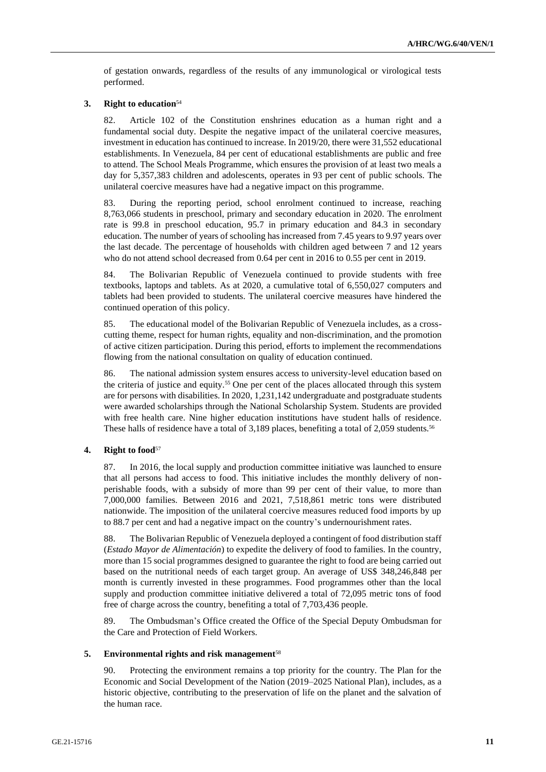of gestation onwards, regardless of the results of any immunological or virological tests performed.

#### **3. Right to education**<sup>54</sup>

82. Article 102 of the Constitution enshrines education as a human right and a fundamental social duty. Despite the negative impact of the unilateral coercive measures, investment in education has continued to increase. In 2019/20, there were 31,552 educational establishments. In Venezuela, 84 per cent of educational establishments are public and free to attend. The School Meals Programme, which ensures the provision of at least two meals a day for 5,357,383 children and adolescents, operates in 93 per cent of public schools. The unilateral coercive measures have had a negative impact on this programme.

83. During the reporting period, school enrolment continued to increase, reaching 8,763,066 students in preschool, primary and secondary education in 2020. The enrolment rate is 99.8 in preschool education, 95.7 in primary education and 84.3 in secondary education. The number of years of schooling has increased from 7.45 years to 9.97 years over the last decade. The percentage of households with children aged between 7 and 12 years who do not attend school decreased from 0.64 per cent in 2016 to 0.55 per cent in 2019.

84. The Bolivarian Republic of Venezuela continued to provide students with free textbooks, laptops and tablets. As at 2020, a cumulative total of 6,550,027 computers and tablets had been provided to students. The unilateral coercive measures have hindered the continued operation of this policy.

85. The educational model of the Bolivarian Republic of Venezuela includes, as a crosscutting theme, respect for human rights, equality and non-discrimination, and the promotion of active citizen participation. During this period, efforts to implement the recommendations flowing from the national consultation on quality of education continued.

86. The national admission system ensures access to university-level education based on the criteria of justice and equity.<sup>55</sup> One per cent of the places allocated through this system are for persons with disabilities. In 2020, 1,231,142 undergraduate and postgraduate students were awarded scholarships through the National Scholarship System. Students are provided with free health care. Nine higher education institutions have student halls of residence. These halls of residence have a total of 3,189 places, benefiting a total of 2,059 students.<sup>56</sup>

#### **4. Right to food**<sup>57</sup>

87. In 2016, the local supply and production committee initiative was launched to ensure that all persons had access to food. This initiative includes the monthly delivery of nonperishable foods, with a subsidy of more than 99 per cent of their value, to more than 7,000,000 families. Between 2016 and 2021, 7,518,861 metric tons were distributed nationwide. The imposition of the unilateral coercive measures reduced food imports by up to 88.7 per cent and had a negative impact on the country's undernourishment rates.

88. The Bolivarian Republic of Venezuela deployed a contingent of food distribution staff (*Estado Mayor de Alimentación*) to expedite the delivery of food to families. In the country, more than 15 social programmes designed to guarantee the right to food are being carried out based on the nutritional needs of each target group. An average of US\$ 348,246,848 per month is currently invested in these programmes. Food programmes other than the local supply and production committee initiative delivered a total of 72,095 metric tons of food free of charge across the country, benefiting a total of 7,703,436 people.

89. The Ombudsman's Office created the Office of the Special Deputy Ombudsman for the Care and Protection of Field Workers.

#### **5. Environmental rights and risk management**<sup>58</sup>

90. Protecting the environment remains a top priority for the country. The Plan for the Economic and Social Development of the Nation (2019–2025 National Plan), includes, as a historic objective, contributing to the preservation of life on the planet and the salvation of the human race.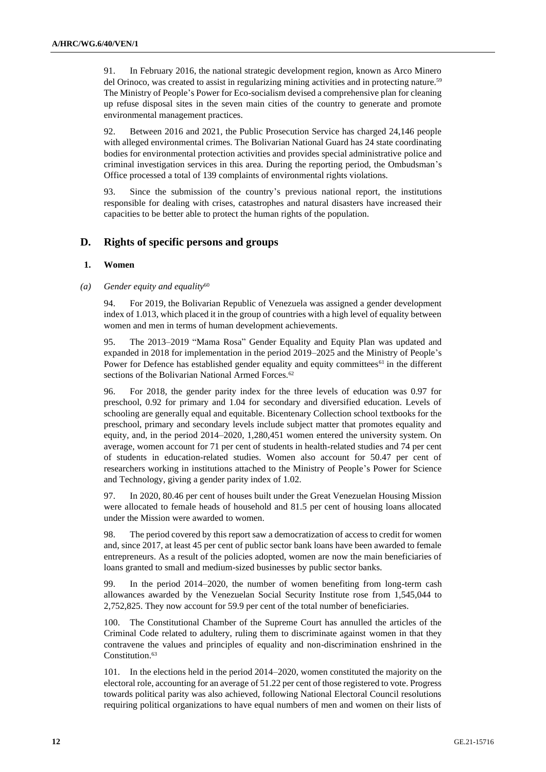91. In February 2016, the national strategic development region, known as Arco Minero del Orinoco, was created to assist in regularizing mining activities and in protecting nature.<sup>59</sup> The Ministry of People's Power for Eco-socialism devised a comprehensive plan for cleaning up refuse disposal sites in the seven main cities of the country to generate and promote environmental management practices.

92. Between 2016 and 2021, the Public Prosecution Service has charged 24,146 people with alleged environmental crimes. The Bolivarian National Guard has 24 state coordinating bodies for environmental protection activities and provides special administrative police and criminal investigation services in this area. During the reporting period, the Ombudsman's Office processed a total of 139 complaints of environmental rights violations.

93. Since the submission of the country's previous national report, the institutions responsible for dealing with crises, catastrophes and natural disasters have increased their capacities to be better able to protect the human rights of the population.

## **D. Rights of specific persons and groups**

#### **1. Women**

#### *(a) Gender equity and equality*<sup>60</sup>

94. For 2019, the Bolivarian Republic of Venezuela was assigned a gender development index of 1.013, which placed it in the group of countries with a high level of equality between women and men in terms of human development achievements.

95. The 2013–2019 "Mama Rosa" Gender Equality and Equity Plan was updated and expanded in 2018 for implementation in the period 2019–2025 and the Ministry of People's Power for Defence has established gender equality and equity committees $61$  in the different sections of the Bolivarian National Armed Forces.<sup>62</sup>

96. For 2018, the gender parity index for the three levels of education was 0.97 for preschool, 0.92 for primary and 1.04 for secondary and diversified education. Levels of schooling are generally equal and equitable. Bicentenary Collection school textbooks for the preschool, primary and secondary levels include subject matter that promotes equality and equity, and, in the period 2014–2020, 1,280,451 women entered the university system. On average, women account for 71 per cent of students in health-related studies and 74 per cent of students in education-related studies. Women also account for 50.47 per cent of researchers working in institutions attached to the Ministry of People's Power for Science and Technology, giving a gender parity index of 1.02.

97. In 2020, 80.46 per cent of houses built under the Great Venezuelan Housing Mission were allocated to female heads of household and 81.5 per cent of housing loans allocated under the Mission were awarded to women.

98. The period covered by this report saw a democratization of access to credit for women and, since 2017, at least 45 per cent of public sector bank loans have been awarded to female entrepreneurs. As a result of the policies adopted, women are now the main beneficiaries of loans granted to small and medium-sized businesses by public sector banks.

99. In the period 2014–2020, the number of women benefiting from long-term cash allowances awarded by the Venezuelan Social Security Institute rose from 1,545,044 to 2,752,825. They now account for 59.9 per cent of the total number of beneficiaries.

100. The Constitutional Chamber of the Supreme Court has annulled the articles of the Criminal Code related to adultery, ruling them to discriminate against women in that they contravene the values and principles of equality and non-discrimination enshrined in the Constitution.<sup>63</sup>

101. In the elections held in the period 2014–2020, women constituted the majority on the electoral role, accounting for an average of 51.22 per cent of those registered to vote. Progress towards political parity was also achieved, following National Electoral Council resolutions requiring political organizations to have equal numbers of men and women on their lists of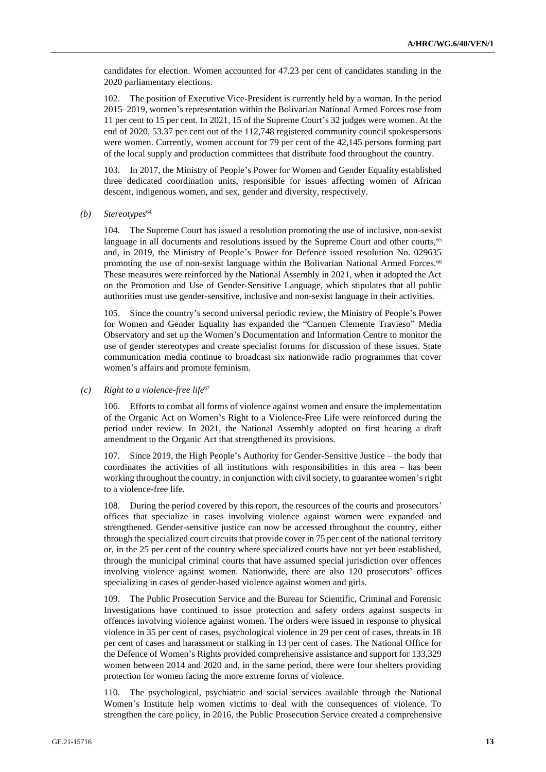candidates for election. Women accounted for 47.23 per cent of candidates standing in the 2020 parliamentary elections.

102. The position of Executive Vice-President is currently held by a woman. In the period 2015–2019, women's representation within the Bolivarian National Armed Forces rose from 11 per cent to 15 per cent. In 2021, 15 of the Supreme Court's 32 judges were women. At the end of 2020, 53.37 per cent out of the 112,748 registered community council spokespersons were women. Currently, women account for 79 per cent of the 42,145 persons forming part of the local supply and production committees that distribute food throughout the country.

103. In 2017, the Ministry of People's Power for Women and Gender Equality established three dedicated coordination units, responsible for issues affecting women of African descent, indigenous women, and sex, gender and diversity, respectively.

*(b) Stereotypes*<sup>64</sup>

104. The Supreme Court has issued a resolution promoting the use of inclusive, non-sexist language in all documents and resolutions issued by the Supreme Court and other courts,<sup>65</sup> and, in 2019, the Ministry of People's Power for Defence issued resolution No. 029635 promoting the use of non-sexist language within the Bolivarian National Armed Forces.<sup>66</sup> These measures were reinforced by the National Assembly in 2021, when it adopted the Act on the Promotion and Use of Gender-Sensitive Language, which stipulates that all public authorities must use gender-sensitive, inclusive and non-sexist language in their activities.

105. Since the country's second universal periodic review, the Ministry of People's Power for Women and Gender Equality has expanded the "Carmen Clemente Travieso" Media Observatory and set up the Women's Documentation and Information Centre to monitor the use of gender stereotypes and create specialist forums for discussion of these issues. State communication media continue to broadcast six nationwide radio programmes that cover women's affairs and promote feminism.

*(c) Right to a violence-free life*<sup>67</sup>

106. Efforts to combat all forms of violence against women and ensure the implementation of the Organic Act on Women's Right to a Violence-Free Life were reinforced during the period under review. In 2021, the National Assembly adopted on first hearing a draft amendment to the Organic Act that strengthened its provisions.

107. Since 2019, the High People's Authority for Gender-Sensitive Justice – the body that coordinates the activities of all institutions with responsibilities in this area – has been working throughout the country, in conjunction with civil society, to guarantee women's right to a violence-free life.

108. During the period covered by this report, the resources of the courts and prosecutors' offices that specialize in cases involving violence against women were expanded and strengthened. Gender-sensitive justice can now be accessed throughout the country, either through the specialized court circuits that provide cover in 75 per cent of the national territory or, in the 25 per cent of the country where specialized courts have not yet been established, through the municipal criminal courts that have assumed special jurisdiction over offences involving violence against women. Nationwide, there are also 120 prosecutors' offices specializing in cases of gender-based violence against women and girls.

109. The Public Prosecution Service and the Bureau for Scientific, Criminal and Forensic Investigations have continued to issue protection and safety orders against suspects in offences involving violence against women. The orders were issued in response to physical violence in 35 per cent of cases, psychological violence in 29 per cent of cases, threats in 18 per cent of cases and harassment or stalking in 13 per cent of cases. The National Office for the Defence of Women's Rights provided comprehensive assistance and support for 133,329 women between 2014 and 2020 and, in the same period, there were four shelters providing protection for women facing the more extreme forms of violence.

110. The psychological, psychiatric and social services available through the National Women's Institute help women victims to deal with the consequences of violence. To strengthen the care policy, in 2016, the Public Prosecution Service created a comprehensive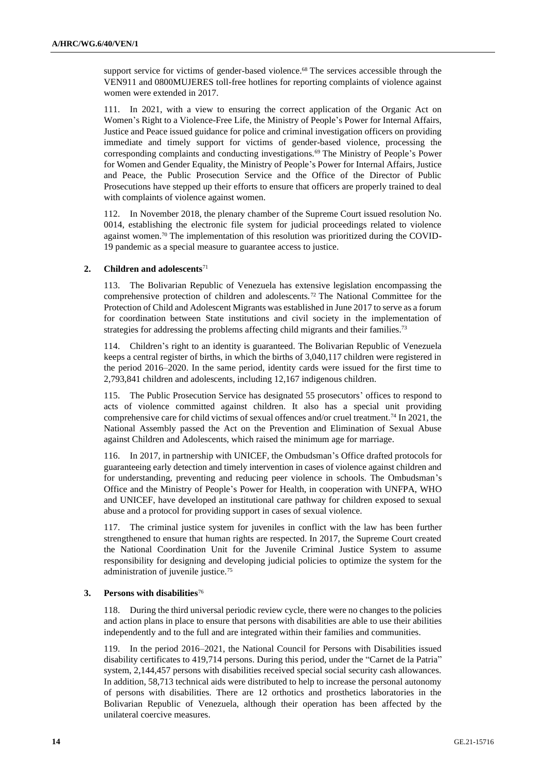support service for victims of gender-based violence.<sup>68</sup> The services accessible through the VEN911 and 0800MUJERES toll-free hotlines for reporting complaints of violence against women were extended in 2017.

111. In 2021, with a view to ensuring the correct application of the Organic Act on Women's Right to a Violence-Free Life, the Ministry of People's Power for Internal Affairs, Justice and Peace issued guidance for police and criminal investigation officers on providing immediate and timely support for victims of gender-based violence, processing the corresponding complaints and conducting investigations.<sup>69</sup> The Ministry of People's Power for Women and Gender Equality, the Ministry of People's Power for Internal Affairs, Justice and Peace, the Public Prosecution Service and the Office of the Director of Public Prosecutions have stepped up their efforts to ensure that officers are properly trained to deal with complaints of violence against women.

112. In November 2018, the plenary chamber of the Supreme Court issued resolution No. 0014, establishing the electronic file system for judicial proceedings related to violence against women.<sup>70</sup> The implementation of this resolution was prioritized during the COVID-19 pandemic as a special measure to guarantee access to justice.

#### **2. Children and adolescents**<sup>71</sup>

113. The Bolivarian Republic of Venezuela has extensive legislation encompassing the comprehensive protection of children and adolescents.<sup>72</sup> The National Committee for the Protection of Child and Adolescent Migrants was established in June 2017 to serve as a forum for coordination between State institutions and civil society in the implementation of strategies for addressing the problems affecting child migrants and their families.<sup>73</sup>

114. Children's right to an identity is guaranteed. The Bolivarian Republic of Venezuela keeps a central register of births, in which the births of 3,040,117 children were registered in the period 2016–2020. In the same period, identity cards were issued for the first time to 2,793,841 children and adolescents, including 12,167 indigenous children.

115. The Public Prosecution Service has designated 55 prosecutors' offices to respond to acts of violence committed against children. It also has a special unit providing comprehensive care for child victims of sexual offences and/or cruel treatment.<sup>74</sup> In 2021, the National Assembly passed the Act on the Prevention and Elimination of Sexual Abuse against Children and Adolescents, which raised the minimum age for marriage.

116. In 2017, in partnership with UNICEF, the Ombudsman's Office drafted protocols for guaranteeing early detection and timely intervention in cases of violence against children and for understanding, preventing and reducing peer violence in schools. The Ombudsman's Office and the Ministry of People's Power for Health, in cooperation with UNFPA, WHO and UNICEF, have developed an institutional care pathway for children exposed to sexual abuse and a protocol for providing support in cases of sexual violence.

117. The criminal justice system for juveniles in conflict with the law has been further strengthened to ensure that human rights are respected. In 2017, the Supreme Court created the National Coordination Unit for the Juvenile Criminal Justice System to assume responsibility for designing and developing judicial policies to optimize the system for the administration of juvenile justice.<sup>75</sup>

#### **3. Persons with disabilities**<sup>76</sup>

118. During the third universal periodic review cycle, there were no changes to the policies and action plans in place to ensure that persons with disabilities are able to use their abilities independently and to the full and are integrated within their families and communities.

119. In the period 2016–2021, the National Council for Persons with Disabilities issued disability certificates to 419,714 persons. During this period, under the "Carnet de la Patria" system, 2,144,457 persons with disabilities received special social security cash allowances. In addition, 58,713 technical aids were distributed to help to increase the personal autonomy of persons with disabilities. There are 12 orthotics and prosthetics laboratories in the Bolivarian Republic of Venezuela, although their operation has been affected by the unilateral coercive measures.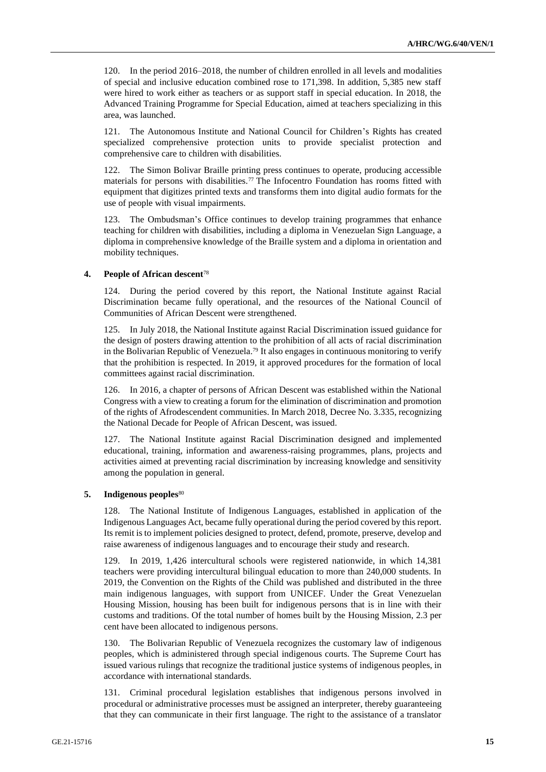120. In the period 2016–2018, the number of children enrolled in all levels and modalities of special and inclusive education combined rose to 171,398. In addition, 5,385 new staff were hired to work either as teachers or as support staff in special education. In 2018, the Advanced Training Programme for Special Education, aimed at teachers specializing in this area, was launched.

121. The Autonomous Institute and National Council for Children's Rights has created specialized comprehensive protection units to provide specialist protection and comprehensive care to children with disabilities.

122. The Simon Bolivar Braille printing press continues to operate, producing accessible materials for persons with disabilities.<sup>77</sup> The Infocentro Foundation has rooms fitted with equipment that digitizes printed texts and transforms them into digital audio formats for the use of people with visual impairments.

123. The Ombudsman's Office continues to develop training programmes that enhance teaching for children with disabilities, including a diploma in Venezuelan Sign Language, a diploma in comprehensive knowledge of the Braille system and a diploma in orientation and mobility techniques.

#### **4. People of African descent**<sup>78</sup>

124. During the period covered by this report, the National Institute against Racial Discrimination became fully operational, and the resources of the National Council of Communities of African Descent were strengthened.

125. In July 2018, the National Institute against Racial Discrimination issued guidance for the design of posters drawing attention to the prohibition of all acts of racial discrimination in the Bolivarian Republic of Venezuela.<sup>79</sup> It also engages in continuous monitoring to verify that the prohibition is respected. In 2019, it approved procedures for the formation of local committees against racial discrimination.

126. In 2016, a chapter of persons of African Descent was established within the National Congress with a view to creating a forum for the elimination of discrimination and promotion of the rights of Afrodescendent communities. In March 2018, Decree No. 3.335, recognizing the National Decade for People of African Descent, was issued.

127. The National Institute against Racial Discrimination designed and implemented educational, training, information and awareness-raising programmes, plans, projects and activities aimed at preventing racial discrimination by increasing knowledge and sensitivity among the population in general.

#### **5. Indigenous peoples**<sup>80</sup>

128. The National Institute of Indigenous Languages, established in application of the Indigenous Languages Act, became fully operational during the period covered by this report. Its remit is to implement policies designed to protect, defend, promote, preserve, develop and raise awareness of indigenous languages and to encourage their study and research.

129. In 2019, 1,426 intercultural schools were registered nationwide, in which 14,381 teachers were providing intercultural bilingual education to more than 240,000 students. In 2019, the Convention on the Rights of the Child was published and distributed in the three main indigenous languages, with support from UNICEF. Under the Great Venezuelan Housing Mission, housing has been built for indigenous persons that is in line with their customs and traditions. Of the total number of homes built by the Housing Mission, 2.3 per cent have been allocated to indigenous persons.

130. The Bolivarian Republic of Venezuela recognizes the customary law of indigenous peoples, which is administered through special indigenous courts. The Supreme Court has issued various rulings that recognize the traditional justice systems of indigenous peoples, in accordance with international standards.

131. Criminal procedural legislation establishes that indigenous persons involved in procedural or administrative processes must be assigned an interpreter, thereby guaranteeing that they can communicate in their first language. The right to the assistance of a translator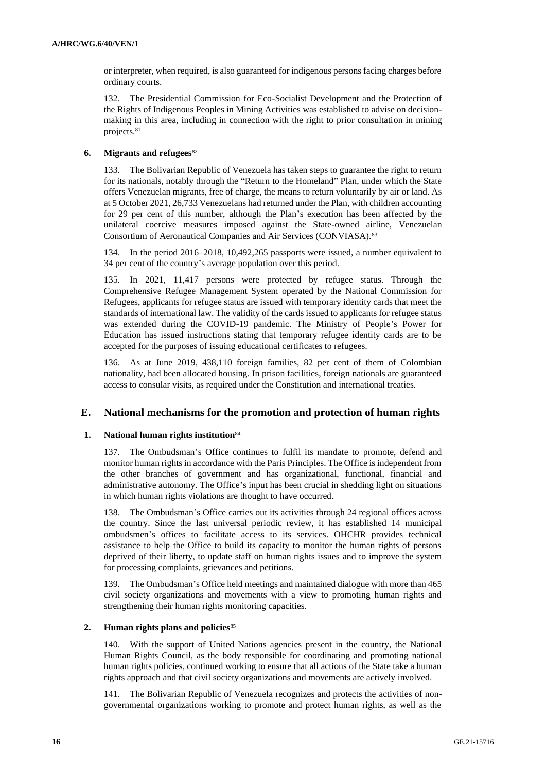or interpreter, when required, is also guaranteed for indigenous persons facing charges before ordinary courts.

132. The Presidential Commission for Eco-Socialist Development and the Protection of the Rights of Indigenous Peoples in Mining Activities was established to advise on decisionmaking in this area, including in connection with the right to prior consultation in mining projects.<sup>81</sup>

## **6. Migrants and refugees**<sup>82</sup>

133. The Bolivarian Republic of Venezuela has taken steps to guarantee the right to return for its nationals, notably through the "Return to the Homeland" Plan, under which the State offers Venezuelan migrants, free of charge, the means to return voluntarily by air or land. As at 5 October 2021, 26,733 Venezuelans had returned under the Plan, with children accounting for 29 per cent of this number, although the Plan's execution has been affected by the unilateral coercive measures imposed against the State-owned airline, Venezuelan Consortium of Aeronautical Companies and Air Services (CONVIASA).<sup>83</sup>

134. In the period 2016–2018, 10,492,265 passports were issued, a number equivalent to 34 per cent of the country's average population over this period.

135. In 2021, 11,417 persons were protected by refugee status. Through the Comprehensive Refugee Management System operated by the National Commission for Refugees, applicants for refugee status are issued with temporary identity cards that meet the standards of international law. The validity of the cards issued to applicants for refugee status was extended during the COVID-19 pandemic. The Ministry of People's Power for Education has issued instructions stating that temporary refugee identity cards are to be accepted for the purposes of issuing educational certificates to refugees.

136. As at June 2019, 438,110 foreign families, 82 per cent of them of Colombian nationality, had been allocated housing. In prison facilities, foreign nationals are guaranteed access to consular visits, as required under the Constitution and international treaties.

## **E. National mechanisms for the promotion and protection of human rights**

#### **1. National human rights institution**<sup>84</sup>

137. The Ombudsman's Office continues to fulfil its mandate to promote, defend and monitor human rights in accordance with the Paris Principles. The Office is independent from the other branches of government and has organizational, functional, financial and administrative autonomy. The Office's input has been crucial in shedding light on situations in which human rights violations are thought to have occurred.

138. The Ombudsman's Office carries out its activities through 24 regional offices across the country. Since the last universal periodic review, it has established 14 municipal ombudsmen's offices to facilitate access to its services. OHCHR provides technical assistance to help the Office to build its capacity to monitor the human rights of persons deprived of their liberty, to update staff on human rights issues and to improve the system for processing complaints, grievances and petitions.

139. The Ombudsman's Office held meetings and maintained dialogue with more than 465 civil society organizations and movements with a view to promoting human rights and strengthening their human rights monitoring capacities.

#### **2. Human rights plans and policies**<sup>85</sup>

140. With the support of United Nations agencies present in the country, the National Human Rights Council, as the body responsible for coordinating and promoting national human rights policies, continued working to ensure that all actions of the State take a human rights approach and that civil society organizations and movements are actively involved.

141. The Bolivarian Republic of Venezuela recognizes and protects the activities of nongovernmental organizations working to promote and protect human rights, as well as the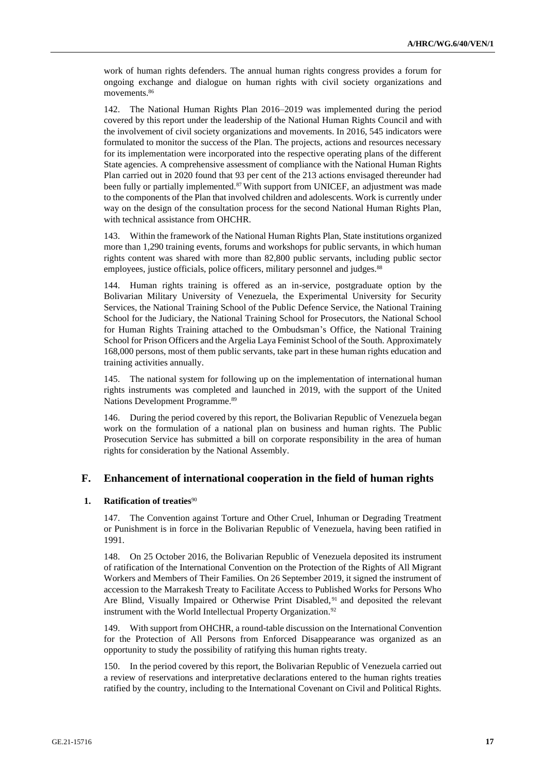work of human rights defenders. The annual human rights congress provides a forum for ongoing exchange and dialogue on human rights with civil society organizations and movements.<sup>86</sup>

142. The National Human Rights Plan 2016–2019 was implemented during the period covered by this report under the leadership of the National Human Rights Council and with the involvement of civil society organizations and movements. In 2016, 545 indicators were formulated to monitor the success of the Plan. The projects, actions and resources necessary for its implementation were incorporated into the respective operating plans of the different State agencies. A comprehensive assessment of compliance with the National Human Rights Plan carried out in 2020 found that 93 per cent of the 213 actions envisaged thereunder had been fully or partially implemented.<sup>87</sup> With support from UNICEF, an adjustment was made to the components of the Plan that involved children and adolescents. Work is currently under way on the design of the consultation process for the second National Human Rights Plan, with technical assistance from OHCHR.

143. Within the framework of the National Human Rights Plan, State institutions organized more than 1,290 training events, forums and workshops for public servants, in which human rights content was shared with more than 82,800 public servants, including public sector employees, justice officials, police officers, military personnel and judges.<sup>88</sup>

144. Human rights training is offered as an in-service, postgraduate option by the Bolivarian Military University of Venezuela, the Experimental University for Security Services, the National Training School of the Public Defence Service, the National Training School for the Judiciary, the National Training School for Prosecutors, the National School for Human Rights Training attached to the Ombudsman's Office, the National Training School for Prison Officers and the Argelia Laya Feminist School of the South. Approximately 168,000 persons, most of them public servants, take part in these human rights education and training activities annually.

145. The national system for following up on the implementation of international human rights instruments was completed and launched in 2019, with the support of the United Nations Development Programme.<sup>89</sup>

146. During the period covered by this report, the Bolivarian Republic of Venezuela began work on the formulation of a national plan on business and human rights. The Public Prosecution Service has submitted a bill on corporate responsibility in the area of human rights for consideration by the National Assembly.

## **F. Enhancement of international cooperation in the field of human rights**

#### **1. Ratification of treaties**<sup>90</sup>

147. The Convention against Torture and Other Cruel, Inhuman or Degrading Treatment or Punishment is in force in the Bolivarian Republic of Venezuela, having been ratified in 1991.

148. On 25 October 2016, the Bolivarian Republic of Venezuela deposited its instrument of ratification of the International Convention on the Protection of the Rights of All Migrant Workers and Members of Their Families. On 26 September 2019, it signed the instrument of accession to the Marrakesh Treaty to Facilitate Access to Published Works for Persons Who Are Blind, Visually Impaired or Otherwise Print Disabled, <sup>91</sup> and deposited the relevant instrument with the World Intellectual Property Organization.<sup>92</sup>

149. With support from OHCHR, a round-table discussion on the International Convention for the Protection of All Persons from Enforced Disappearance was organized as an opportunity to study the possibility of ratifying this human rights treaty.

150. In the period covered by this report, the Bolivarian Republic of Venezuela carried out a review of reservations and interpretative declarations entered to the human rights treaties ratified by the country, including to the International Covenant on Civil and Political Rights.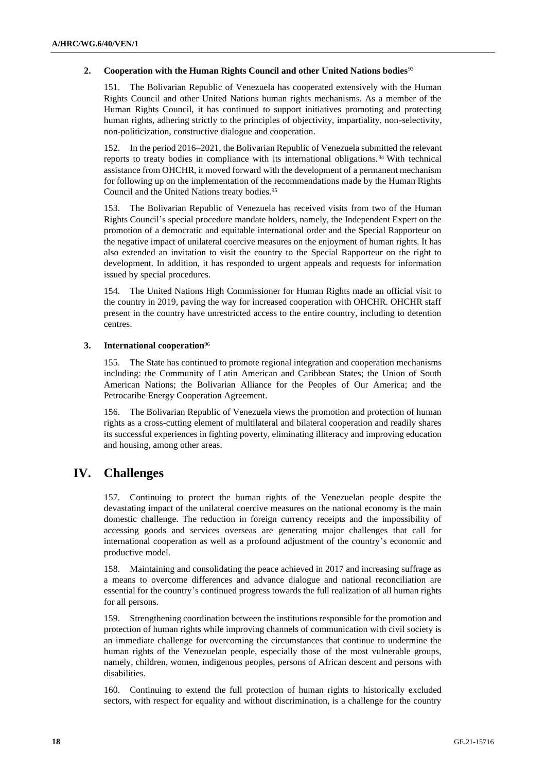#### **2. Cooperation with the Human Rights Council and other United Nations bodies**<sup>93</sup>

151. The Bolivarian Republic of Venezuela has cooperated extensively with the Human Rights Council and other United Nations human rights mechanisms. As a member of the Human Rights Council, it has continued to support initiatives promoting and protecting human rights, adhering strictly to the principles of objectivity, impartiality, non-selectivity, non-politicization, constructive dialogue and cooperation.

152. In the period 2016–2021, the Bolivarian Republic of Venezuela submitted the relevant reports to treaty bodies in compliance with its international obligations.<sup>94</sup> With technical assistance from OHCHR, it moved forward with the development of a permanent mechanism for following up on the implementation of the recommendations made by the Human Rights Council and the United Nations treaty bodies.<sup>95</sup>

153. The Bolivarian Republic of Venezuela has received visits from two of the Human Rights Council's special procedure mandate holders, namely, the Independent Expert on the promotion of a democratic and equitable international order and the Special Rapporteur on the negative impact of unilateral coercive measures on the enjoyment of human rights. It has also extended an invitation to visit the country to the Special Rapporteur on the right to development. In addition, it has responded to urgent appeals and requests for information issued by special procedures.

154. The United Nations High Commissioner for Human Rights made an official visit to the country in 2019, paving the way for increased cooperation with OHCHR. OHCHR staff present in the country have unrestricted access to the entire country, including to detention centres.

#### **3. International cooperation**<sup>96</sup>

155. The State has continued to promote regional integration and cooperation mechanisms including: the Community of Latin American and Caribbean States; the Union of South American Nations; the Bolivarian Alliance for the Peoples of Our America; and the Petrocaribe Energy Cooperation Agreement.

156. The Bolivarian Republic of Venezuela views the promotion and protection of human rights as a cross-cutting element of multilateral and bilateral cooperation and readily shares its successful experiences in fighting poverty, eliminating illiteracy and improving education and housing, among other areas.

# **IV. Challenges**

157. Continuing to protect the human rights of the Venezuelan people despite the devastating impact of the unilateral coercive measures on the national economy is the main domestic challenge. The reduction in foreign currency receipts and the impossibility of accessing goods and services overseas are generating major challenges that call for international cooperation as well as a profound adjustment of the country's economic and productive model.

158. Maintaining and consolidating the peace achieved in 2017 and increasing suffrage as a means to overcome differences and advance dialogue and national reconciliation are essential for the country's continued progress towards the full realization of all human rights for all persons.

159. Strengthening coordination between the institutions responsible for the promotion and protection of human rights while improving channels of communication with civil society is an immediate challenge for overcoming the circumstances that continue to undermine the human rights of the Venezuelan people, especially those of the most vulnerable groups, namely, children, women, indigenous peoples, persons of African descent and persons with disabilities.

160. Continuing to extend the full protection of human rights to historically excluded sectors, with respect for equality and without discrimination, is a challenge for the country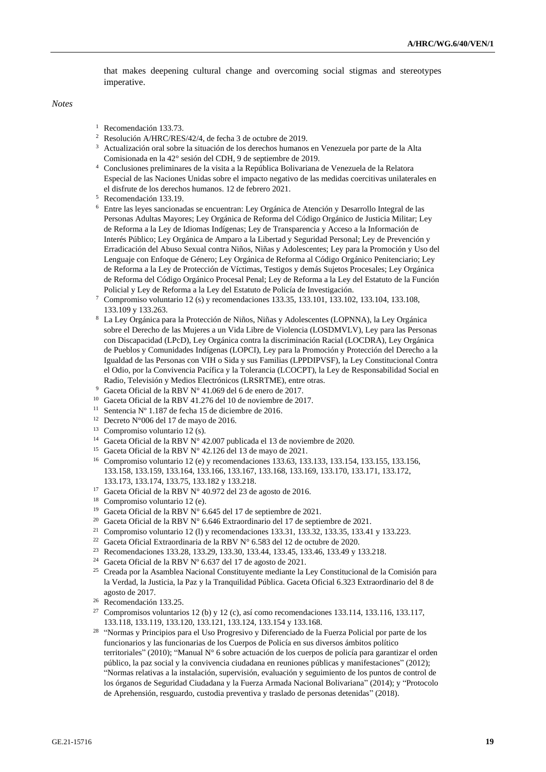that makes deepening cultural change and overcoming social stigmas and stereotypes imperative.

*Notes*

- <sup>1</sup> Recomendación 133.73.
- <sup>2</sup> Resolución A/HRC/RES/42/4, de fecha 3 de octubre de 2019.
- <sup>3</sup> Actualización oral sobre la situación de los derechos humanos en Venezuela por parte de la Alta Comisionada en la 42° sesión del CDH, 9 de septiembre de 2019.
- <sup>4</sup> Conclusiones preliminares de la visita a la República Bolivariana de Venezuela de la Relatora Especial de las Naciones Unidas sobre el impacto negativo de las medidas coercitivas unilaterales en el disfrute de los derechos humanos. 12 de febrero 2021.
- <sup>5</sup> Recomendación 133.19.
- <sup>6</sup> Entre las leyes sancionadas se encuentran: Ley Orgánica de Atención y Desarrollo Integral de las Personas Adultas Mayores; Ley Orgánica de Reforma del Código Orgánico de Justicia Militar; Ley de Reforma a la Ley de Idiomas Indígenas; Ley de Transparencia y Acceso a la Información de Interés Público; Ley Orgánica de Amparo a la Libertad y Seguridad Personal; Ley de Prevención y Erradicación del Abuso Sexual contra Niños, Niñas y Adolescentes; Ley para la Promoción y Uso del Lenguaje con Enfoque de Género; Ley Orgánica de Reforma al Código Orgánico Penitenciario; Ley de Reforma a la Ley de Protección de Víctimas, Testigos y demás Sujetos Procesales; Ley Orgánica de Reforma del Código Orgánico Procesal Penal; Ley de Reforma a la Ley del Estatuto de la Función Policial y Ley de Reforma a la Ley del Estatuto de Policía de Investigación.
- Compromiso voluntario 12 (s) y recomendaciones 133.35, 133.101, 133.102, 133.104, 133.108, 133.109 y 133.263.
- <sup>8</sup> La Ley Orgánica para la Protección de Niños, Niñas y Adolescentes (LOPNNA), la Ley Orgánica sobre el Derecho de las Mujeres a un Vida Libre de Violencia (LOSDMVLV), Ley para las Personas con Discapacidad (LPcD), Ley Orgánica contra la discriminación Racial (LOCDRA), Ley Orgánica de Pueblos y Comunidades Indígenas (LOPCI), Ley para la Promoción y Protección del Derecho a la Igualdad de las Personas con VIH o Sida y sus Familias (LPPDIPVSF), la Ley Constitucional Contra el Odio, por la Convivencia Pacífica y la Tolerancia (LCOCPT), la Ley de Responsabilidad Social en Radio, Televisión y Medios Electrónicos (LRSRTME), entre otras.
- <sup>9</sup> Gaceta Oficial de la RBV N° 41.069 del 6 de enero de 2017.
- <sup>10</sup> Gaceta Oficial de la RBV 41.276 del 10 de noviembre de 2017.
- <sup>11</sup> Sentencia Nº 1.187 de fecha 15 de diciembre de 2016.
- <sup>12</sup> Decreto N°006 del 17 de mayo de 2016.
- <sup>13</sup> Compromiso voluntario 12 (s).
- <sup>14</sup> Gaceta Oficial de la RBV N° 42.007 publicada el 13 de noviembre de 2020.
- <sup>15</sup> Gaceta Oficial de la RBV N° 42.126 del 13 de mayo de 2021.
- <sup>16</sup> Compromiso voluntario 12 (e) y recomendaciones 133.63, 133.133, 133.154, 133.155, 133.156, 133.158, 133.159, 133.164, 133.166, 133.167, 133.168, 133.169, 133.170, 133.171, 133.172, 133.173, 133.174, 133.75, 133.182 y 133.218.
- <sup>17</sup> Gaceta Oficial de la RBV N° 40.972 del 23 de agosto de 2016.
- <sup>18</sup> Compromiso voluntario 12 (e).
- <sup>19</sup> Gaceta Oficial de la RBV N° 6.645 del 17 de septiembre de 2021.
- <sup>20</sup> Gaceta Oficial de la RBV N° 6.646 Extraordinario del 17 de septiembre de 2021.
- <sup>21</sup> Compromiso voluntario 12 (1) y recomendaciones 133.31, 133.32, 133.35, 133.41 y 133.223.
- <sup>22</sup> Gaceta Oficial Extraordinaria de la RBV N° 6.583 del 12 de octubre de 2020.
- <sup>23</sup> Recomendaciones 133.28, 133.29, 133.30, 133.44, 133.45, 133.46, 133.49 y 133.218.
- <sup>24</sup> Gaceta Oficial de la RBV Nº 6.637 del 17 de agosto de 2021.
- <sup>25</sup> Creada por la Asamblea Nacional Constituyente mediante la Ley Constitucional de la Comisión para la Verdad, la Justicia, la Paz y la Tranquilidad Pública. Gaceta Oficial 6.323 Extraordinario del 8 de agosto de 2017.
- <sup>26</sup> Recomendación 133.25.
- <sup>27</sup> Compromisos voluntarios 12 (b) y 12 (c), así como recomendaciones 133.114, 133.116, 133.117, 133.118, 133.119, 133.120, 133.121, 133.124, 133.154 y 133.168.
- <sup>28</sup> "Normas y Principios para el Uso Progresivo y Diferenciado de la Fuerza Policial por parte de los funcionarios y las funcionarias de los Cuerpos de Policía en sus diversos ámbitos político territoriales" (2010); "Manual N° 6 sobre actuación de los cuerpos de policía para garantizar el orden público, la paz social y la convivencia ciudadana en reuniones públicas y manifestaciones" (2012); "Normas relativas a la instalación, supervisión, evaluación y seguimiento de los puntos de control de los órganos de Seguridad Ciudadana y la Fuerza Armada Nacional Bolivariana" (2014); y "Protocolo de Aprehensión, resguardo, custodia preventiva y traslado de personas detenidas" (2018).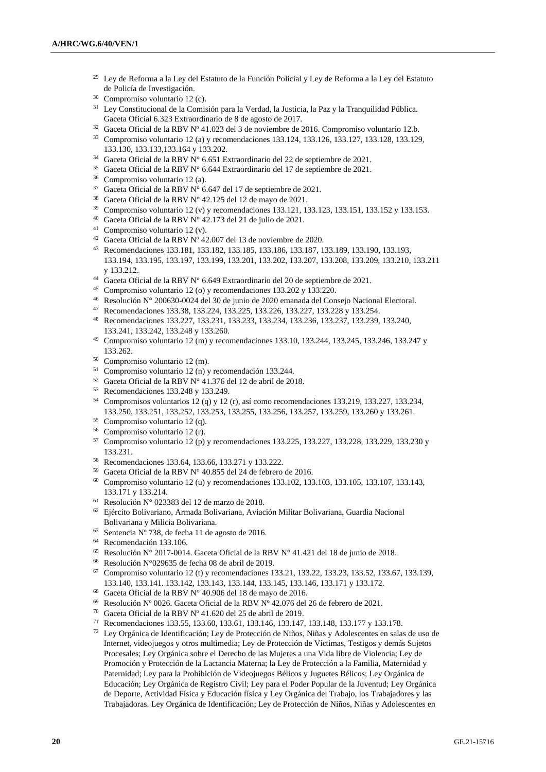- <sup>29</sup> Ley de Reforma a la Ley del Estatuto de la Función Policial y Ley de Reforma a la Ley del Estatuto de Policía de Investigación.
- Compromiso voluntario 12 (c).
- Ley Constitucional de la Comisión para la Verdad, la Justicia, la Paz y la Tranquilidad Pública. Gaceta Oficial 6.323 Extraordinario de 8 de agosto de 2017.
- Gaceta Oficial de la RBV Nº 41.023 del 3 de noviembre de 2016. Compromiso voluntario 12.b.
- Compromiso voluntario 12 (a) y recomendaciones 133.124, 133.126, 133.127, 133.128, 133.129, 133.130, 133.133,133.164 y 133.202.
- Gaceta Oficial de la RBV N° 6.651 Extraordinario del 22 de septiembre de 2021.
- Gaceta Oficial de la RBV N° 6.644 Extraordinario del 17 de septiembre de 2021.
- Compromiso voluntario 12 (a).
- Gaceta Oficial de la RBV N° 6.647 del 17 de septiembre de 2021.
- Gaceta Oficial de la RBV N° 42.125 del 12 de mayo de 2021.
- Compromiso voluntario 12 (v) y recomendaciones 133.121, 133.123, 133.151, 133.152 y 133.153.
- Gaceta Oficial de la RBV N° 42.173 del 21 de julio de 2021.
- Compromiso voluntario 12 (v).
- Gaceta Oficial de la RBV Nº 42.007 del 13 de noviembre de 2020.
- Recomendaciones 133.181, 133.182, 133.185, 133.186, 133.187, 133.189, 133.190, 133.193, 133.194, 133.195, 133.197, 133.199, 133.201, 133.202, 133.207, 133.208, 133.209, 133.210, 133.211 y 133.212.
- Gaceta Oficial de la RBV N° 6.649 Extraordinario del 20 de septiembre de 2021.
- Compromiso voluntario 12 (o) y recomendaciones 133.202 y 133.220.
- Resolución N° 200630-0024 del 30 de junio de 2020 emanada del Consejo Nacional Electoral.
- Recomendaciones 133.38, 133.224, 133.225, 133.226, 133.227, 133.228 y 133.254.
- Recomendaciones 133.227, 133.231, 133.233, 133.234, 133.236, 133.237, 133.239, 133.240, 133.241, 133.242, 133.248 y 133.260.
- Compromiso voluntario 12 (m) y recomendaciones 133.10, 133.244, 133.245, 133.246, 133.247 y 133.262.
- Compromiso voluntario 12 (m).
- Compromiso voluntario 12 (n) y recomendación 133.244.
- Gaceta Oficial de la RBV N° 41.376 del 12 de abril de 2018.
- Recomendaciones 133.248 y 133.249.
- Compromisos voluntarios 12 (q) y 12 (r), así como recomendaciones 133.219, 133.227, 133.234, 133.250, 133.251, 133.252, 133.253, 133.255, 133.256, 133.257, 133.259, 133.260 y 133.261.
- Compromiso voluntario 12 (q).
- Compromiso voluntario 12 (r).
- Compromiso voluntario 12 (p) y recomendaciones 133.225, 133.227, 133.228, 133.229, 133.230 y 133.231.
- Recomendaciones 133.64, 133.66, 133.271 y 133.222.
- Gaceta Oficial de la RBV N° 40.855 del 24 de febrero de 2016.
- Compromiso voluntario 12 (u) y recomendaciones 133.102, 133.103, 133.105, 133.107, 133.143, 133.171 y 133.214.
- $^{61}$  Resolución N° 023383 del 12 de marzo de 2018.
- Ejército Bolivariano, Armada Bolivariana, Aviación Militar Bolivariana, Guardia Nacional Bolivariana y Milicia Bolivariana.
- 63 Sentencia Nº 738, de fecha 11 de agosto de 2016.
- Recomendación 133.106.
- <sup>65</sup> Resolución N° 2017-0014. Gaceta Oficial de la RBV N° 41.421 del 18 de junio de 2018.
- Resolución N°029635 de fecha 08 de abril de 2019.
- Compromiso voluntario 12 (t) y recomendaciones 133.21, 133.22, 133.23, 133.52, 133.67, 133.139, 133.140, 133.141. 133.142, 133.143, 133.144, 133.145, 133.146, 133.171 y 133.172.
- Gaceta Oficial de la RBV N° 40.906 del 18 de mayo de 2016.
- Resolución Nº 0026. Gaceta Oficial de la RBV Nº 42.076 del 26 de febrero de 2021.
- Gaceta Oficial de la RBV Nº 41.620 del 25 de abril de 2019.
- Recomendaciones 133.55, 133.60, 133.61, 133.146, 133.147, 133.148, 133.177 y 133.178.
- Ley Orgánica de Identificación; Ley de Protección de Niños, Niñas y Adolescentes en salas de uso de Internet, videojuegos y otros multimedia; Ley de Protección de Víctimas, Testigos y demás Sujetos Procesales; Ley Orgánica sobre el Derecho de las Mujeres a una Vida libre de Violencia; Ley de Promoción y Protección de la Lactancia Materna; la Ley de Protección a la Familia, Maternidad y Paternidad; Ley para la Prohibición de Videojuegos Bélicos y Juguetes Bélicos; Ley Orgánica de Educación; Ley Orgánica de Registro Civil; Ley para el Poder Popular de la Juventud; Ley Orgánica de Deporte, Actividad Física y Educación física y Ley Orgánica del Trabajo, los Trabajadores y las Trabajadoras. Ley Orgánica de Identificación; Ley de Protección de Niños, Niñas y Adolescentes en